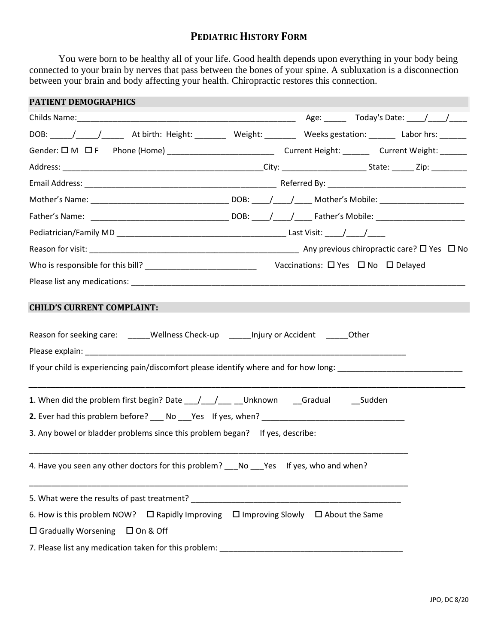## **PEDIATRIC HISTORY FORM**

You were born to be healthy all of your life. Good health depends upon everything in your body being connected to your brain by nerves that pass between the bones of your spine. A subluxation is a disconnection between your brain and body affecting your health. Chiropractic restores this connection.

| <b>PATIENT DEMOGRAPHICS</b>                                                                                                       |  |  |  |  |  |  |
|-----------------------------------------------------------------------------------------------------------------------------------|--|--|--|--|--|--|
|                                                                                                                                   |  |  |  |  |  |  |
|                                                                                                                                   |  |  |  |  |  |  |
| Gender: $\square$ M $\square$ F Phone (Home) ___________________________________Current Height: ___________Current Weight: ______ |  |  |  |  |  |  |
|                                                                                                                                   |  |  |  |  |  |  |
|                                                                                                                                   |  |  |  |  |  |  |
|                                                                                                                                   |  |  |  |  |  |  |
|                                                                                                                                   |  |  |  |  |  |  |
|                                                                                                                                   |  |  |  |  |  |  |
|                                                                                                                                   |  |  |  |  |  |  |
|                                                                                                                                   |  |  |  |  |  |  |
|                                                                                                                                   |  |  |  |  |  |  |
| Reason for seeking care: ______Wellness Check-up _______ Injury or Accident _______Other                                          |  |  |  |  |  |  |
| 1. When did the problem first begin? Date ____/____/_______Unknown ___Gradual ______________________                              |  |  |  |  |  |  |
|                                                                                                                                   |  |  |  |  |  |  |
| 3. Any bowel or bladder problems since this problem began? If yes, describe:                                                      |  |  |  |  |  |  |
| 4. Have you seen any other doctors for this problem? ___ No ___ Yes If yes, who and when?                                         |  |  |  |  |  |  |
|                                                                                                                                   |  |  |  |  |  |  |
| 6. How is this problem NOW? $\Box$ Rapidly Improving $\Box$ Improving Slowly $\Box$ About the Same                                |  |  |  |  |  |  |
| $\Box$ Gradually Worsening $\Box$ On & Off                                                                                        |  |  |  |  |  |  |
|                                                                                                                                   |  |  |  |  |  |  |